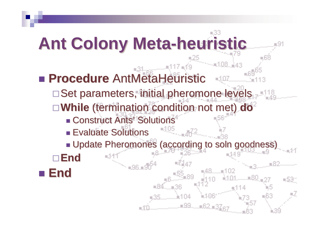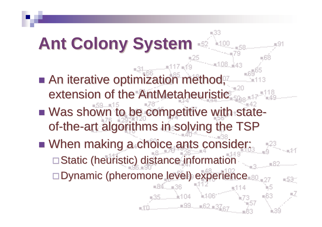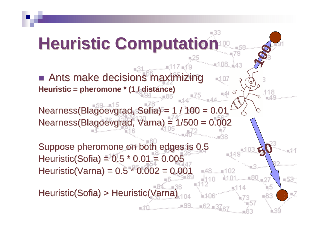:33 **Heuristic Computation100**■ Ants make decisions maximizing  $=1.07$ **Heuristic = pheromone \* (1 / distance)**Nearness(Blagoevgrad, Sofia) = 1 / 100 = 0.01 Nearness(Blagoevgrad, Varna) = 1/500 = 0.002Suppose pheromone on both edges is 0.5**50**Heuristic(Sofia) =  $0.5 * 0.01 = 0.005$  Heuristic(Varna) = 0.5 \* 0.002 = 0.001=,48................102 -53 Heuristic(Sofia) > Heuristic(Varna)电子 .w99......w62.w3Z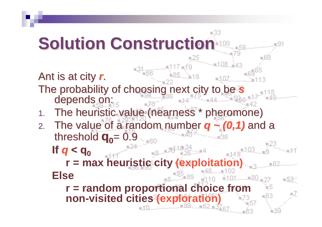≡33 **Solution Construction**Ant is at city **<sup>r</sup>**. The probability of choosing next city to be **s** depends on: The heuristic value (nearness \* pheromone)1.2. The value of a random number **q ~ (0,1)** and a threshold  $q_0 = 0.9$ **If q < q0** ⋰⋰<sub>⋴8</sub>ౣౣ≭≸<sup>11</sup>≌31 **r = max heuristic city (exploitation)Else**-531 **r = random proportional choice from non-visited cities (exploration)**#99.....#62,#37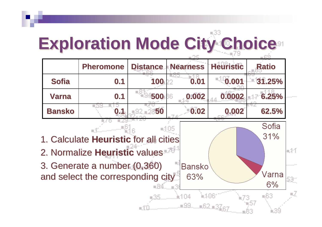## **Exploration Mode City Choice**

|                                              | <b>Pheromone</b>                  | <b>Distance</b> | <b>Nearness</b> | <b>Heuristic</b> | <b>Ratio</b> |       |
|----------------------------------------------|-----------------------------------|-----------------|-----------------|------------------|--------------|-------|
| <b>Sofia</b>                                 | 0.1                               | 100             | 0.01            | 0.001            | 31.25%       |       |
| <b>Varna</b>                                 | 0.1                               | 500             | 0.002<br>86     | 0.0002           | 6.25%        |       |
| <b>Bansko</b>                                | 0.1                               | 50              | 0.02            | 0.002            | 62.5%        |       |
|                                              |                                   |                 |                 |                  | Sofia        |       |
| 31%<br>1. Calculate Heuristic for all cities |                                   |                 |                 |                  |              |       |
| 2. Normalize Heuristic values                |                                   |                 |                 |                  |              | u.441 |
|                                              | 3. Generate a number (0,360)      |                 | <b>Bansko</b>   |                  |              |       |
|                                              | and select the corresponding city |                 | 63%             |                  | Varna        |       |
|                                              |                                   |                 |                 |                  | 6%           |       |
|                                              |                                   |                 | it 104          |                  | ≡63          |       |
|                                              |                                   |                 | …w99……w62,w3;   |                  |              |       |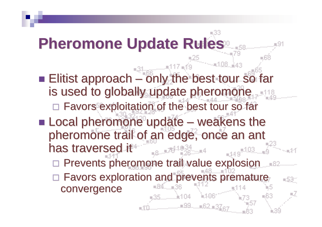≡33 **Pheromone Update Rules** $\mathbb{E}^{24}_{\mathbb{H}^{\text{max}}_{\text{max}}\text{max}}$ – only the best tour so far ■ Elitist approach  $\mathcal{L}_{\mathcal{A}}$  , and the set of the set of the set of the set of the set of the set of the set of the set of the set of the set of the set of the set of the set of the set of the set of the set of the set of the set of th is used to globally update pheromone □ Favors exploitation of the best tour so far **Local pheromone update** – weakens the pheromone trail of an edge, once an ant<br>has traversed it has traversed it $-149$ <sup> $-103$ </sup> Prevents pheromone trail value explosion  $\Box$ □ Favors exploration and prevents premature -531 convergence\*99……#62,#3)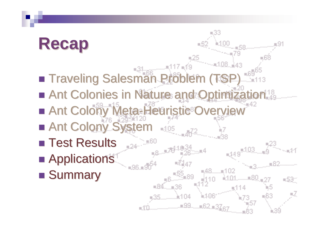## **Recap**

- $\blacksquare$  Traveling Salesman Problem (TSP)
- Ant Colonies in Nature and Optimization ■ Ant Colony Meta-Heuristic Overview

 $-119$ <sup> $-103$ </sup>

R99……R62,R3Z

 $-53$ 

- Ant Colony System
- Test Results
- Applications
- Summary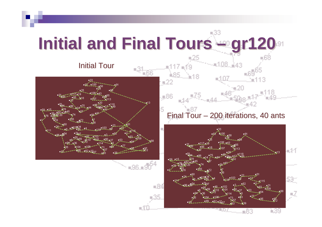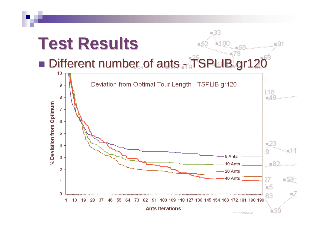